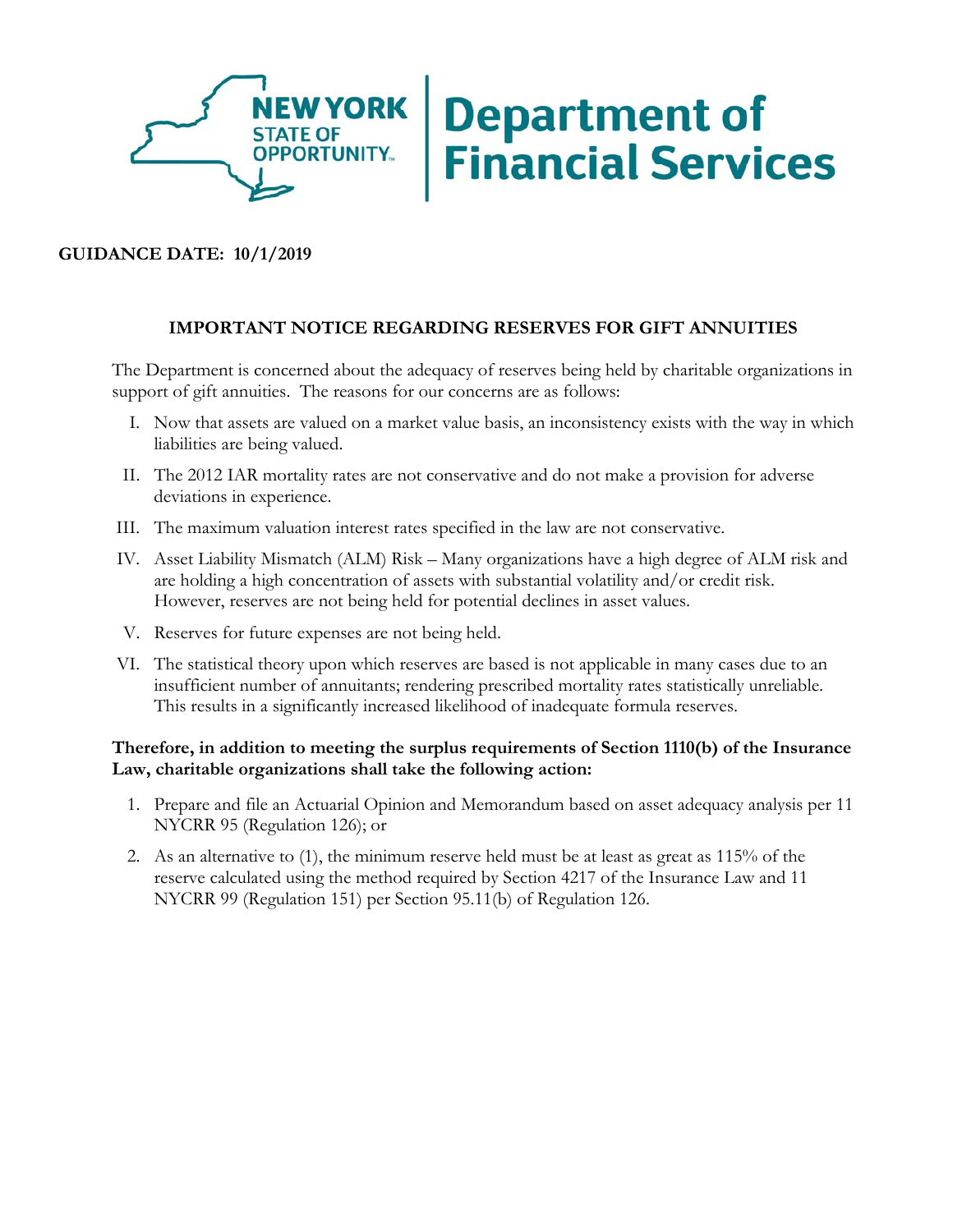

# **Department of<br>Financial Services**

# **GUIDANCE DATE: 10/1/2019**

## **IMPORTANT NOTICE REGARDING RESERVES FOR GIFT ANNUITIES**

The Department is concerned about the adequacy of reserves being held by charitable organizations in support of gift annuities. The reasons for our concerns are as follows:

- I. Now that assets are valued on a market value basis, an inconsistency exists with the way in which liabilities are being valued.
- II. The 2012 IAR mortality rates are not conservative and do not make a provision for adverse deviations in experience.
- III. The maximum valuation interest rates specified in the law are not conservative.
- IV. Asset Liability Mismatch (ALM) Risk Many organizations have a high degree of ALM risk and are holding a high concentration of assets with substantial volatility and/or credit risk. However, reserves are not being held for potential declines in asset values.
- V. Reserves for future expenses are not being held.
- VI. The statistical theory upon which reserves are based is not applicable in many cases due to an insufficient number of annuitants; rendering prescribed mortality rates statistically unreliable. This results in a significantly increased likelihood of inadequate formula reserves.

### **Therefore, in addition to meeting the surplus requirements of Section 1110(b) of the Insurance Law, charitable organizations shall take the following action:**

- 1. Prepare and file an Actuarial Opinion and Memorandum based on asset adequacy analysis per 11 NYCRR 95 (Regulation 126); or
- 2. As an alternative to (1), the minimum reserve held must be at least as great as 115% of the reserve calculated using the method required by Section 4217 of the Insurance Law and 11 NYCRR 99 (Regulation 151) per Section 95.11(b) of Regulation 126.